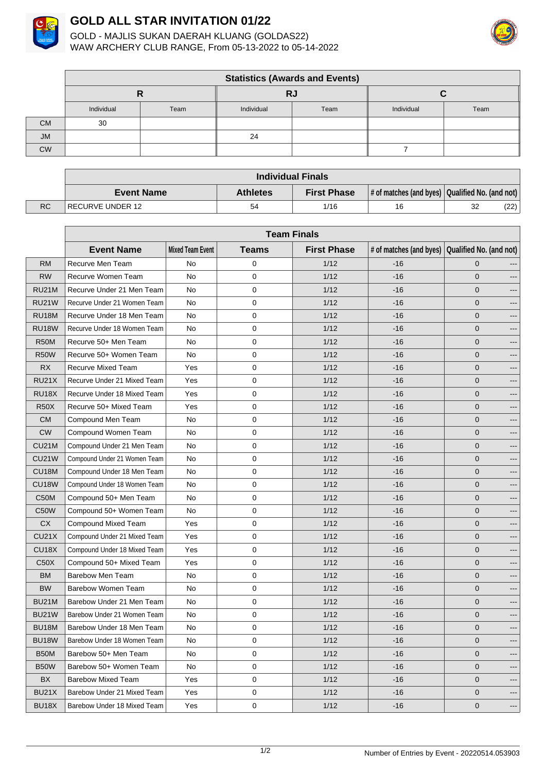

## **GOLD ALL STAR INVITATION 01/22**

GOLD - MAJLIS SUKAN DAERAH KLUANG (GOLDAS22) WAW ARCHERY CLUB RANGE, From 05-13-2022 to 05-14-2022



|           | <b>Statistics (Awards and Events)</b> |      |            |      |            |      |  |  |
|-----------|---------------------------------------|------|------------|------|------------|------|--|--|
|           |                                       |      | RJ         |      |            |      |  |  |
|           | Individual                            | Team | Individual | Team | Individual | Team |  |  |
| <b>CM</b> | 30                                    |      |            |      |            |      |  |  |
| <b>JM</b> |                                       |      | 24         |      |            |      |  |  |
| <b>CW</b> |                                       |      |            |      |            |      |  |  |

|           | <b>Individual Finals</b> |                 |                    |                                                                         |    |      |
|-----------|--------------------------|-----------------|--------------------|-------------------------------------------------------------------------|----|------|
|           | <b>Event Name</b>        | <b>Athletes</b> | <b>First Phase</b> | $\vert$ # of matches (and byes) $\vert$ Qualified No. (and not) $\vert$ |    |      |
| <b>RC</b> | IRECURVE UNDER 12        | 54              | 1/16               | 16                                                                      | 32 | (22) |

|                    | <b>Team Finals</b>           |                         |              |                    |       |                                                 |
|--------------------|------------------------------|-------------------------|--------------|--------------------|-------|-------------------------------------------------|
|                    | <b>Event Name</b>            | <b>Mixed Team Event</b> | <b>Teams</b> | <b>First Phase</b> |       | # of matches (and byes) Qualified No. (and not) |
| <b>RM</b>          | Recurve Men Team             | No                      | 0            | 1/12               | $-16$ | $\mathbf{0}$                                    |
| <b>RW</b>          | Recurve Women Team           | <b>No</b>               | 0            | 1/12               | $-16$ | $\mathbf{0}$                                    |
| <b>RU21M</b>       | Recurve Under 21 Men Team    | No                      | $\mathbf 0$  | 1/12               | $-16$ | $\mathbf{0}$                                    |
| <b>RU21W</b>       | Recurve Under 21 Women Team  | No                      | 0            | 1/12               | -16   | $\mathbf 0$                                     |
| <b>RU18M</b>       | Recurve Under 18 Men Team    | No                      | 0            | 1/12               | -16   | 0<br>---                                        |
| <b>RU18W</b>       | Recurve Under 18 Women Team  | No                      | $\mathbf 0$  | 1/12               | $-16$ | 0<br>---                                        |
| <b>R50M</b>        | Recurve 50+ Men Team         | No                      | 0            | 1/12               | -16   | $\mathbf 0$                                     |
| <b>R50W</b>        | Recurve 50+ Women Team       | No                      | 0            | 1/12               | $-16$ | 0                                               |
| <b>RX</b>          | Recurve Mixed Team           | Yes                     | $\mathbf 0$  | 1/12               | -16   | 0<br>---                                        |
| <b>RU21X</b>       | Recurve Under 21 Mixed Team  | Yes                     | 0            | 1/12               | $-16$ | $\mathbf 0$<br>---                              |
| <b>RU18X</b>       | Recurve Under 18 Mixed Team  | Yes                     | 0            | 1/12               | $-16$ | $\mathbf 0$                                     |
| <b>R50X</b>        | Recurve 50+ Mixed Team       | Yes                     | 0            | 1/12               | $-16$ | $\mathbf{0}$<br>---                             |
| <b>CM</b>          | Compound Men Team            | No                      | 0            | 1/12               | $-16$ | 0                                               |
| <b>CW</b>          | Compound Women Team          | No                      | $\mathbf 0$  | 1/12               | $-16$ | 0<br>---                                        |
| <b>CU21M</b>       | Compound Under 21 Men Team   | No                      | 0            | 1/12               | $-16$ | 0                                               |
| <b>CU21W</b>       | Compound Under 21 Women Team | No                      | 0            | 1/12               | -16   | 0<br>$---$                                      |
| CU18M              | Compound Under 18 Men Team   | No                      | $\mathbf 0$  | 1/12               | $-16$ | 0<br>---                                        |
| <b>CU18W</b>       | Compound Under 18 Women Team | No                      | 0            | 1/12               | $-16$ | $\mathbf 0$                                     |
| C50M               | Compound 50+ Men Team        | No                      | 0            | 1/12               | $-16$ | 0                                               |
| C <sub>50</sub> W  | Compound 50+ Women Team      | No                      | $\mathbf 0$  | 1/12               | -16   | 0<br>---                                        |
| <b>CX</b>          | Compound Mixed Team          | Yes                     | 0            | 1/12               | $-16$ | $\mathbf 0$<br>---                              |
| <b>CU21X</b>       | Compound Under 21 Mixed Team | Yes                     | 0            | 1/12               | $-16$ | $\mathbf 0$                                     |
| CU <sub>18</sub> X | Compound Under 18 Mixed Team | Yes                     | 0            | 1/12               | $-16$ | $\mathbf{0}$<br>---                             |
| C50X               | Compound 50+ Mixed Team      | Yes                     | 0            | 1/12               | $-16$ | $\mathbf{0}$                                    |
| <b>BM</b>          | <b>Barebow Men Team</b>      | No                      | $\mathbf 0$  | 1/12               | $-16$ | 0<br>---                                        |
| <b>BW</b>          | Barebow Women Team           | No                      | 0            | 1/12               | $-16$ | $\mathbf 0$                                     |
| <b>BU21M</b>       | Barebow Under 21 Men Team    | No                      | 0            | 1/12               | -16   | 0<br>---                                        |
| <b>BU21W</b>       | Barebow Under 21 Women Team  | No                      | 0            | 1/12               | $-16$ | 0                                               |
| BU18M              | Barebow Under 18 Men Team    | No                      | 0            | 1/12               | -16   | $\mathbf 0$                                     |
| <b>BU18W</b>       | Barebow Under 18 Women Team  | No.                     | 0            | 1/12               | $-16$ | 0<br>---                                        |
| <b>B50M</b>        | Barebow 50+ Men Team         | No                      | $\mathbf 0$  | 1/12               | $-16$ | 0<br>$---$                                      |
| B <sub>50</sub> W  | Barebow 50+ Women Team       | No                      | 0            | 1/12               | -16   | 0<br>---                                        |
| BX                 | <b>Barebow Mixed Team</b>    | Yes                     | 0            | 1/12               | -16   | 0<br>---                                        |
| BU21X              | Barebow Under 21 Mixed Team  | Yes                     | 0            | 1/12               | -16   | 0<br>---                                        |
| BU <sub>18</sub> X | Barebow Under 18 Mixed Team  | Yes                     | 0            | 1/12               | -16   | 0<br>$---$                                      |